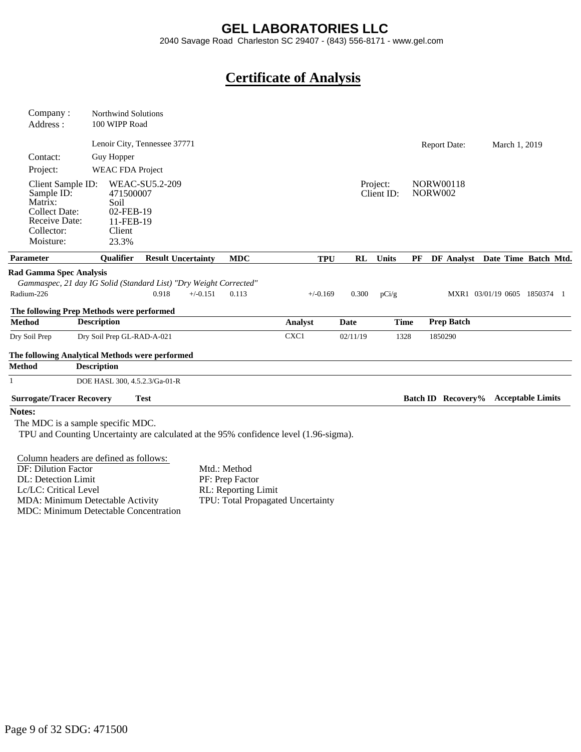### **GEL LABORATORIES LLC**

2040 Savage Road Charleston SC 29407 - (843) 556-8171 - www.gel.com

## **Certificate of Analysis**

| Company:                                                                                                       | <b>Northwind Solutions</b>                                                                                     |                              |                           |                                        |                                                                                       |          |                        |                                    |                                      |  |
|----------------------------------------------------------------------------------------------------------------|----------------------------------------------------------------------------------------------------------------|------------------------------|---------------------------|----------------------------------------|---------------------------------------------------------------------------------------|----------|------------------------|------------------------------------|--------------------------------------|--|
| Address:                                                                                                       | 100 WIPP Road                                                                                                  |                              |                           |                                        |                                                                                       |          |                        |                                    |                                      |  |
|                                                                                                                |                                                                                                                | Lenoir City, Tennessee 37771 |                           |                                        |                                                                                       |          |                        | <b>Report Date:</b>                | March 1, 2019                        |  |
| Contact:                                                                                                       | Guy Hopper                                                                                                     |                              |                           |                                        |                                                                                       |          |                        |                                    |                                      |  |
| Project:                                                                                                       | <b>WEAC FDA Project</b>                                                                                        |                              |                           |                                        |                                                                                       |          |                        |                                    |                                      |  |
| Client Sample ID:<br>Sample ID:<br>Matrix:<br><b>Collect Date:</b><br>Receive Date:<br>Collector:<br>Moisture: | 471500007<br>Soil<br>02-FEB-19<br>11-FEB-19<br>Client<br>23.3%                                                 | <b>WEAC-SU5.2-209</b>        |                           |                                        |                                                                                       |          | Project:<br>Client ID: | <b>NORW00118</b><br><b>NORW002</b> |                                      |  |
| <b>Parameter</b>                                                                                               | <b>Oualifier</b>                                                                                               |                              | <b>Result Uncertainty</b> | <b>MDC</b>                             | <b>TPU</b>                                                                            | RL       | <b>Units</b>           |                                    | PF DF Analyst Date Time Batch Mtd.   |  |
| <b>Rad Gamma Spec Analysis</b><br>Radium-226                                                                   | Gammaspec, 21 day IG Solid (Standard List) "Dry Weight Corrected"<br>The following Prep Methods were performed | 0.918                        | $+/-0.151$                | 0.113                                  | $+/-0.169$                                                                            | 0.300    | pCi/g                  |                                    | MXR1 03/01/19 0605 1850374 1         |  |
| <b>Method</b>                                                                                                  | <b>Description</b>                                                                                             |                              |                           |                                        | Analyst                                                                               | Date     | <b>Time</b>            | <b>Prep Batch</b>                  |                                      |  |
| Dry Soil Prep                                                                                                  | Dry Soil Prep GL-RAD-A-021                                                                                     |                              |                           |                                        | CXC1                                                                                  | 02/11/19 | 1328                   | 1850290                            |                                      |  |
|                                                                                                                | The following Analytical Methods were performed                                                                |                              |                           |                                        |                                                                                       |          |                        |                                    |                                      |  |
| <b>Method</b>                                                                                                  | <b>Description</b>                                                                                             |                              |                           |                                        |                                                                                       |          |                        |                                    |                                      |  |
| 1                                                                                                              | DOE HASL 300, 4.5.2.3/Ga-01-R                                                                                  |                              |                           |                                        |                                                                                       |          |                        |                                    |                                      |  |
| <b>Surrogate/Tracer Recovery</b>                                                                               |                                                                                                                | <b>Test</b>                  |                           |                                        |                                                                                       |          |                        |                                    | Batch ID Recovery% Acceptable Limits |  |
| Notes:                                                                                                         |                                                                                                                |                              |                           |                                        |                                                                                       |          |                        |                                    |                                      |  |
|                                                                                                                | The MDC is a sample specific MDC.                                                                              |                              |                           |                                        | TPU and Counting Uncertainty are calculated at the 95% confidence level (1.96-sigma). |          |                        |                                    |                                      |  |
|                                                                                                                | Column headers are defined as follows:                                                                         |                              |                           |                                        |                                                                                       |          |                        |                                    |                                      |  |
| <b>DF: Dilution Factor</b>                                                                                     |                                                                                                                |                              |                           | Mtd.: Method                           |                                                                                       |          |                        |                                    |                                      |  |
| DL: Detection Limit<br>Lc/LC: Critical Level                                                                   |                                                                                                                |                              |                           | PF: Prep Factor<br>RL: Reporting Limit |                                                                                       |          |                        |                                    |                                      |  |
|                                                                                                                | $\sim$ 11. As $\sim$ 12.                                                                                       |                              |                           | $\mathbf{m}$                           | $\sim$ 1 TT $\sim$ 1 T                                                                |          |                        |                                    |                                      |  |

MDA: Minimum Detectable Activity MDC: Minimum Detectable Concentration TPU: Total Propagated Uncertainty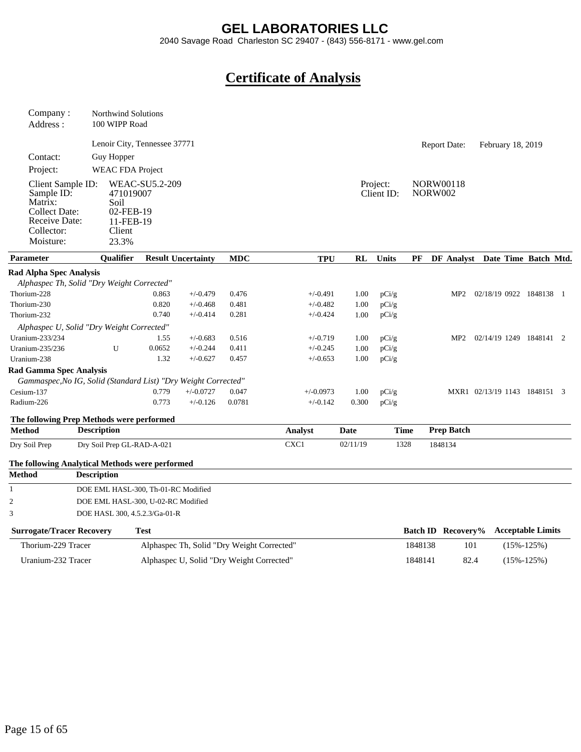#### **GEL LABORATORIES LLC**

2040 Savage Road Charleston SC 29407 - (843) 556-8171 - www.gel.com

# **Certificate of Analysis**

| Company:<br>Address:                                                                                           | 100 WIPP Road           | <b>Northwind Solutions</b>                                   |                                           |            |             |                |                        |                           |                     |                                 |                  |  |
|----------------------------------------------------------------------------------------------------------------|-------------------------|--------------------------------------------------------------|-------------------------------------------|------------|-------------|----------------|------------------------|---------------------------|---------------------|---------------------------------|------------------|--|
|                                                                                                                |                         | Lenoir City, Tennessee 37771                                 |                                           |            |             |                |                        |                           | <b>Report Date:</b> | February 18, 2019               |                  |  |
| Contact:                                                                                                       | Guy Hopper              |                                                              |                                           |            |             |                |                        |                           |                     |                                 |                  |  |
| Project:                                                                                                       |                         | <b>WEAC FDA Project</b>                                      |                                           |            |             |                |                        |                           |                     |                                 |                  |  |
|                                                                                                                |                         |                                                              |                                           |            |             |                |                        |                           |                     |                                 |                  |  |
| Client Sample ID:<br>Sample ID:<br>Matrix:<br><b>Collect Date:</b><br>Receive Date:<br>Collector:<br>Moisture: | Soil<br>Client<br>23.3% | <b>WEAC-SU5.2-209</b><br>471019007<br>02-FEB-19<br>11-FEB-19 |                                           |            |             |                | Project:<br>Client ID: | <b>NORW002</b>            | <b>NORW00118</b>    |                                 |                  |  |
| <b>Parameter</b>                                                                                               | Qualifier               |                                                              | <b>Result Uncertainty</b>                 | <b>MDC</b> | <b>TPU</b>  | <b>RL</b>      | <b>Units</b>           | PF                        |                     | DF Analyst Date Time Batch Mtd. |                  |  |
| <b>Rad Alpha Spec Analysis</b>                                                                                 |                         |                                                              |                                           |            |             |                |                        |                           |                     |                                 |                  |  |
| Alphaspec Th, Solid "Dry Weight Corrected"                                                                     |                         |                                                              |                                           |            |             |                |                        |                           |                     |                                 |                  |  |
| Thorium-228                                                                                                    |                         | 0.863                                                        | $+/-0.479$                                | 0.476      | $+/-0.491$  | 1.00           | pCi/g                  |                           | MP2                 | 02/18/19 0922 1848138 1         |                  |  |
| Thorium-230                                                                                                    |                         | 0.820                                                        | $+/-0.468$                                | 0.481      | $+/-0.482$  | 1.00           | pCi/g                  |                           |                     |                                 |                  |  |
| Thorium-232                                                                                                    |                         | 0.740                                                        | $+/-0.414$                                | 0.281      | $+/-0.424$  | 1.00           | pCi/g                  |                           |                     |                                 |                  |  |
| Alphaspec U, Solid "Dry Weight Corrected"                                                                      |                         |                                                              |                                           |            |             |                |                        |                           |                     |                                 |                  |  |
| Uranium-233/234                                                                                                |                         | 1.55                                                         | $+/-0.683$                                | 0.516      | $+/-0.719$  | 1.00           | pCi/g                  |                           | MP2                 | 02/14/19 1249 1848141 2         |                  |  |
| Uranium-235/236                                                                                                | U                       | 0.0652                                                       | $+/-0.244$                                | 0.411      | $+/-0.245$  | 1.00           | pCi/g                  |                           |                     |                                 |                  |  |
| Uranium-238                                                                                                    |                         | 1.32                                                         | $+/-0.627$                                | 0.457      | $+/-0.653$  | 1.00           | pCi/g                  |                           |                     |                                 |                  |  |
| <b>Rad Gamma Spec Analysis</b>                                                                                 |                         |                                                              |                                           |            |             |                |                        |                           |                     |                                 |                  |  |
| Gammaspec, No IG, Solid (Standard List) "Dry Weight Corrected"                                                 |                         |                                                              |                                           |            |             |                |                        |                           |                     |                                 |                  |  |
| Cesium-137                                                                                                     |                         | 0.779                                                        | $+/-0.0727$                               | 0.047      | $+/-0.0973$ | 1.00           | pCi/g                  |                           |                     | MXR1 02/13/19 1143 1848151 3    |                  |  |
| Radium-226                                                                                                     |                         | 0.773                                                        | $+/-0.126$                                | 0.0781     | $+/-0.142$  | 0.300          | pCi/g                  |                           |                     |                                 |                  |  |
| The following Prep Methods were performed                                                                      |                         |                                                              |                                           |            |             |                |                        |                           |                     |                                 |                  |  |
| <b>Method</b>                                                                                                  | <b>Description</b>      |                                                              |                                           |            | Analyst     | Date           | <b>Time</b>            |                           | <b>Prep Batch</b>   |                                 |                  |  |
| Dry Soil Prep                                                                                                  |                         | Dry Soil Prep GL-RAD-A-021                                   |                                           |            | CXC1        | 02/11/19       | 1328                   |                           | 1848134             |                                 |                  |  |
| The following Analytical Methods were performed                                                                |                         |                                                              |                                           |            |             |                |                        |                           |                     |                                 |                  |  |
| <b>Method</b>                                                                                                  | <b>Description</b>      |                                                              |                                           |            |             |                |                        |                           |                     |                                 |                  |  |
| 1                                                                                                              |                         | DOE EML HASL-300, Th-01-RC Modified                          |                                           |            |             |                |                        |                           |                     |                                 |                  |  |
| $\mathfrak{2}$                                                                                                 |                         | DOE EML HASL-300, U-02-RC Modified                           |                                           |            |             |                |                        |                           |                     |                                 |                  |  |
| 3                                                                                                              |                         | DOE HASL 300, 4.5.2.3/Ga-01-R                                |                                           |            |             |                |                        |                           |                     |                                 |                  |  |
|                                                                                                                |                         |                                                              |                                           |            |             |                |                        |                           |                     |                                 |                  |  |
| <b>Surrogate/Tracer Recovery</b><br><b>Test</b>                                                                |                         |                                                              |                                           |            |             |                |                        | <b>Batch ID</b> Recovery% |                     | <b>Acceptable Limits</b>        |                  |  |
| Thorium-229 Tracer<br>Alphaspec Th, Solid "Dry Weight Corrected"                                               |                         |                                                              |                                           |            |             | 1848138<br>101 |                        |                           | $(15\% - 125\%)$    |                                 |                  |  |
| Uranium-232 Tracer                                                                                             |                         |                                                              | Alphaspec U, Solid "Dry Weight Corrected" |            |             |                |                        | 1848141                   | 82.4                |                                 | $(15\% - 125\%)$ |  |